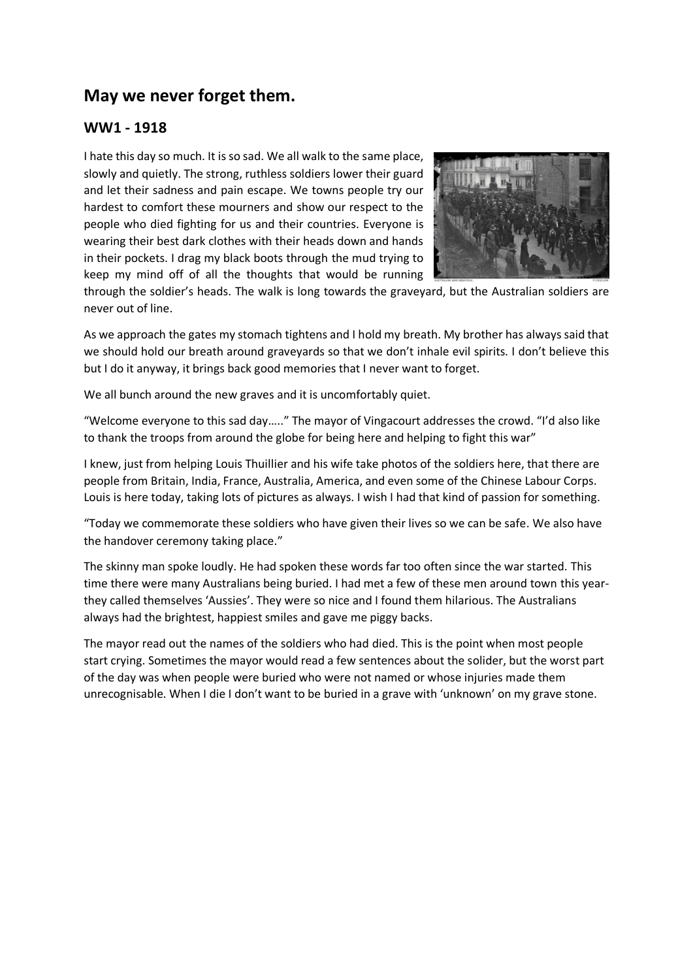# **May we never forget them.**

## **WW1 - 1918**

I hate this day so much. It is so sad. We all walk to the same place, slowly and quietly. The strong, ruthless soldiers lower their guard and let their sadness and pain escape. We towns people try our hardest to comfort these mourners and show our respect to the people who died fighting for us and their countries. Everyone is wearing their best dark clothes with their heads down and hands in their pockets. I drag my black boots through the mud trying to keep my mind off of all the thoughts that would be running



through the soldier's heads. The walk is long towards the graveyard, but the Australian soldiers are never out of line.

As we approach the gates my stomach tightens and I hold my breath. My brother has always said that we should hold our breath around graveyards so that we don't inhale evil spirits. I don't believe this but I do it anyway, it brings back good memories that I never want to forget.

We all bunch around the new graves and it is uncomfortably quiet.

"Welcome everyone to this sad day….." The mayor of Vingacourt addresses the crowd. "I'd also like to thank the troops from around the globe for being here and helping to fight this war"

I knew, just from helping Louis Thuillier and his wife take photos of the soldiers here, that there are people from Britain, India, France, Australia, America, and even some of the Chinese Labour Corps. Louis is here today, taking lots of pictures as always. I wish I had that kind of passion for something.

"Today we commemorate these soldiers who have given their lives so we can be safe. We also have the handover ceremony taking place."

The skinny man spoke loudly. He had spoken these words far too often since the war started. This time there were many Australians being buried. I had met a few of these men around town this yearthey called themselves 'Aussies'. They were so nice and I found them hilarious. The Australians always had the brightest, happiest smiles and gave me piggy backs.

The mayor read out the names of the soldiers who had died. This is the point when most people start crying. Sometimes the mayor would read a few sentences about the solider, but the worst part of the day was when people were buried who were not named or whose injuries made them unrecognisable. When I die I don't want to be buried in a grave with 'unknown' on my grave stone.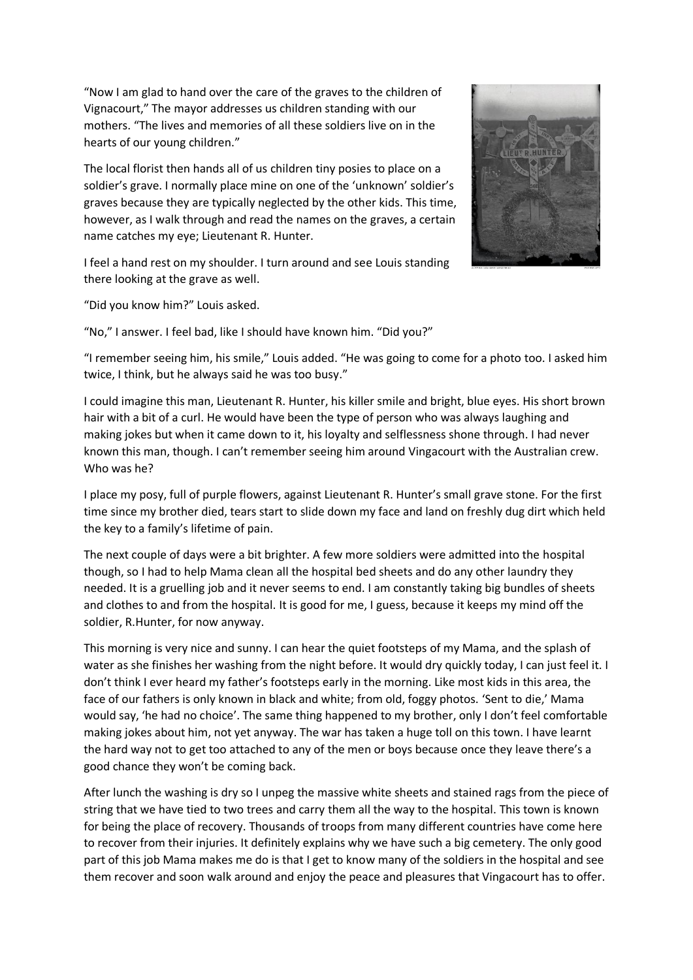"Now I am glad to hand over the care of the graves to the children of Vignacourt," The mayor addresses us children standing with our mothers. "The lives and memories of all these soldiers live on in the hearts of our young children."

The local florist then hands all of us children tiny posies to place on a soldier's grave. I normally place mine on one of the 'unknown' soldier's graves because they are typically neglected by the other kids. This time, however, as I walk through and read the names on the graves, a certain name catches my eye; Lieutenant R. Hunter.



I feel a hand rest on my shoulder. I turn around and see Louis standing there looking at the grave as well.

"Did you know him?" Louis asked.

"No," I answer. I feel bad, like I should have known him. "Did you?"

"I remember seeing him, his smile," Louis added. "He was going to come for a photo too. I asked him twice, I think, but he always said he was too busy."

I could imagine this man, Lieutenant R. Hunter, his killer smile and bright, blue eyes. His short brown hair with a bit of a curl. He would have been the type of person who was always laughing and making jokes but when it came down to it, his loyalty and selflessness shone through. I had never known this man, though. I can't remember seeing him around Vingacourt with the Australian crew. Who was he?

I place my posy, full of purple flowers, against Lieutenant R. Hunter's small grave stone. For the first time since my brother died, tears start to slide down my face and land on freshly dug dirt which held the key to a family's lifetime of pain.

The next couple of days were a bit brighter. A few more soldiers were admitted into the hospital though, so I had to help Mama clean all the hospital bed sheets and do any other laundry they needed. It is a gruelling job and it never seems to end. I am constantly taking big bundles of sheets and clothes to and from the hospital. It is good for me, I guess, because it keeps my mind off the soldier, R.Hunter, for now anyway.

This morning is very nice and sunny. I can hear the quiet footsteps of my Mama, and the splash of water as she finishes her washing from the night before. It would dry quickly today, I can just feel it. I don't think I ever heard my father's footsteps early in the morning. Like most kids in this area, the face of our fathers is only known in black and white; from old, foggy photos. 'Sent to die,' Mama would say, 'he had no choice'. The same thing happened to my brother, only I don't feel comfortable making jokes about him, not yet anyway. The war has taken a huge toll on this town. I have learnt the hard way not to get too attached to any of the men or boys because once they leave there's a good chance they won't be coming back.

After lunch the washing is dry so I unpeg the massive white sheets and stained rags from the piece of string that we have tied to two trees and carry them all the way to the hospital. This town is known for being the place of recovery. Thousands of troops from many different countries have come here to recover from their injuries. It definitely explains why we have such a big cemetery. The only good part of this job Mama makes me do is that I get to know many of the soldiers in the hospital and see them recover and soon walk around and enjoy the peace and pleasures that Vingacourt has to offer.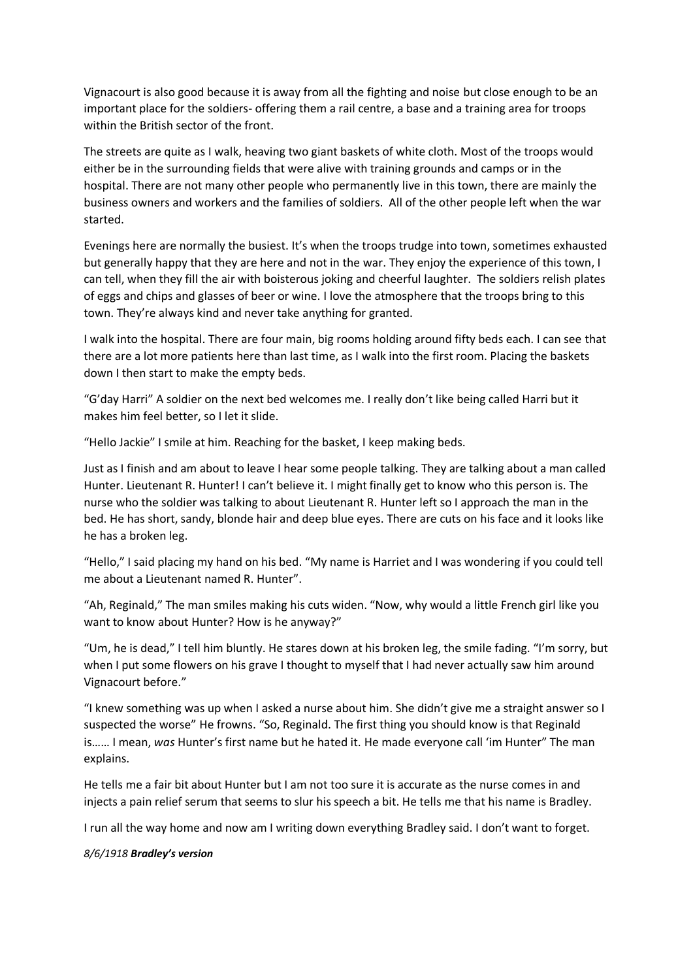Vignacourt is also good because it is away from all the fighting and noise but close enough to be an important place for the soldiers- offering them a rail centre, a base and a training area for troops within the British sector of the front.

The streets are quite as I walk, heaving two giant baskets of white cloth. Most of the troops would either be in the surrounding fields that were alive with training grounds and camps or in the hospital. There are not many other people who permanently live in this town, there are mainly the business owners and workers and the families of soldiers. All of the other people left when the war started.

Evenings here are normally the busiest. It's when the troops trudge into town, sometimes exhausted but generally happy that they are here and not in the war. They enjoy the experience of this town, I can tell, when they fill the air with boisterous joking and cheerful laughter. The soldiers relish plates of eggs and chips and glasses of beer or wine. I love the atmosphere that the troops bring to this town. They're always kind and never take anything for granted.

I walk into the hospital. There are four main, big rooms holding around fifty beds each. I can see that there are a lot more patients here than last time, as I walk into the first room. Placing the baskets down I then start to make the empty beds.

"G'day Harri" A soldier on the next bed welcomes me. I really don't like being called Harri but it makes him feel better, so I let it slide.

"Hello Jackie" I smile at him. Reaching for the basket, I keep making beds.

Just as I finish and am about to leave I hear some people talking. They are talking about a man called Hunter. Lieutenant R. Hunter! I can't believe it. I might finally get to know who this person is. The nurse who the soldier was talking to about Lieutenant R. Hunter left so I approach the man in the bed. He has short, sandy, blonde hair and deep blue eyes. There are cuts on his face and it looks like he has a broken leg.

"Hello," I said placing my hand on his bed. "My name is Harriet and I was wondering if you could tell me about a Lieutenant named R. Hunter".

"Ah, Reginald," The man smiles making his cuts widen. "Now, why would a little French girl like you want to know about Hunter? How is he anyway?"

"Um, he is dead," I tell him bluntly. He stares down at his broken leg, the smile fading. "I'm sorry, but when I put some flowers on his grave I thought to myself that I had never actually saw him around Vignacourt before."

"I knew something was up when I asked a nurse about him. She didn't give me a straight answer so I suspected the worse" He frowns. "So, Reginald. The first thing you should know is that Reginald is…… I mean, *was* Hunter's first name but he hated it. He made everyone call 'im Hunter" The man explains.

He tells me a fair bit about Hunter but I am not too sure it is accurate as the nurse comes in and injects a pain relief serum that seems to slur his speech a bit. He tells me that his name is Bradley.

I run all the way home and now am I writing down everything Bradley said. I don't want to forget.

#### *8/6/1918 Bradley's version*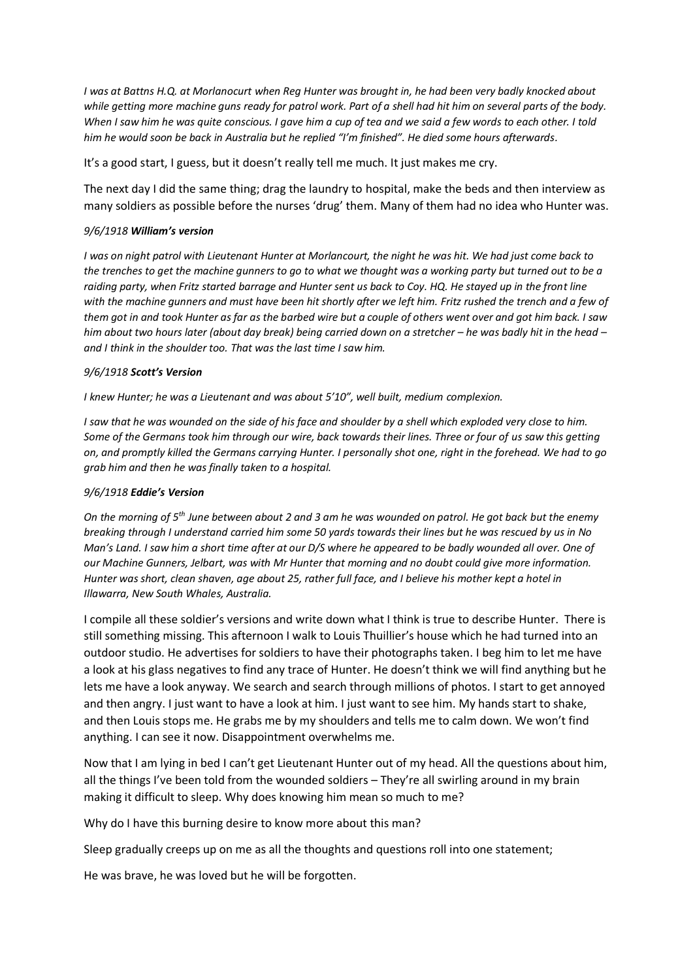*I was at Battns H.Q. at Morlanocurt when Reg Hunter was brought in, he had been very badly knocked about while getting more machine guns ready for patrol work. Part of a shell had hit him on several parts of the body. When I saw him he was quite conscious. I gave him a cup of tea and we said a few words to each other. I told him he would soon be back in Australia but he replied "I'm finished". He died some hours afterwards.*

It's a good start, I guess, but it doesn't really tell me much. It just makes me cry.

The next day I did the same thing; drag the laundry to hospital, make the beds and then interview as many soldiers as possible before the nurses 'drug' them. Many of them had no idea who Hunter was.

#### *9/6/1918 William's version*

*I was on night patrol with Lieutenant Hunter at Morlancourt, the night he was hit. We had just come back to the trenches to get the machine gunners to go to what we thought was a working party but turned out to be a raiding party, when Fritz started barrage and Hunter sent us back to Coy. HQ. He stayed up in the front line with the machine gunners and must have been hit shortly after we left him. Fritz rushed the trench and a few of them got in and took Hunter as far as the barbed wire but a couple of others went over and got him back. I saw him about two hours later (about day break) being carried down on a stretcher – he was badly hit in the head – and I think in the shoulder too. That was the last time I saw him.*

#### *9/6/1918 Scott's Version*

*I knew Hunter; he was a Lieutenant and was about 5'10", well built, medium complexion.* 

*I saw that he was wounded on the side of his face and shoulder by a shell which exploded very close to him. Some of the Germans took him through our wire, back towards their lines. Three or four of us saw this getting on, and promptly killed the Germans carrying Hunter. I personally shot one, right in the forehead. We had to go grab him and then he was finally taken to a hospital.* 

### *9/6/1918 Eddie's Version*

*On the morning of 5th June between about 2 and 3 am he was wounded on patrol. He got back but the enemy breaking through I understand carried him some 50 yards towards their lines but he was rescued by us in No Man's Land. I saw him a short time after at our D/S where he appeared to be badly wounded all over. One of our Machine Gunners, Jelbart, was with Mr Hunter that morning and no doubt could give more information. Hunter was short, clean shaven, age about 25, rather full face, and I believe his mother kept a hotel in Illawarra, New South Whales, Australia.*

I compile all these soldier's versions and write down what I think is true to describe Hunter. There is still something missing. This afternoon I walk to Louis Thuillier's house which he had turned into an outdoor studio. He advertises for soldiers to have their photographs taken. I beg him to let me have a look at his glass negatives to find any trace of Hunter. He doesn't think we will find anything but he lets me have a look anyway. We search and search through millions of photos. I start to get annoyed and then angry. I just want to have a look at him. I just want to see him. My hands start to shake, and then Louis stops me. He grabs me by my shoulders and tells me to calm down. We won't find anything. I can see it now. Disappointment overwhelms me.

Now that I am lying in bed I can't get Lieutenant Hunter out of my head. All the questions about him, all the things I've been told from the wounded soldiers – They're all swirling around in my brain making it difficult to sleep. Why does knowing him mean so much to me?

Why do I have this burning desire to know more about this man?

Sleep gradually creeps up on me as all the thoughts and questions roll into one statement;

He was brave, he was loved but he will be forgotten.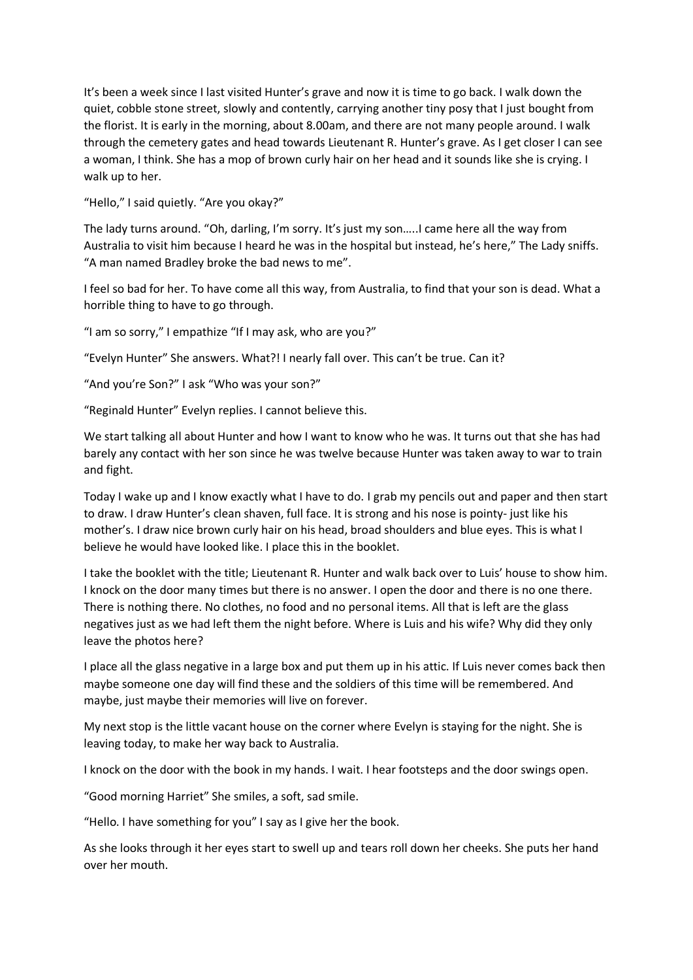It's been a week since I last visited Hunter's grave and now it is time to go back. I walk down the quiet, cobble stone street, slowly and contently, carrying another tiny posy that I just bought from the florist. It is early in the morning, about 8.00am, and there are not many people around. I walk through the cemetery gates and head towards Lieutenant R. Hunter's grave. As I get closer I can see a woman, I think. She has a mop of brown curly hair on her head and it sounds like she is crying. I walk up to her.

"Hello," I said quietly. "Are you okay?"

The lady turns around. "Oh, darling, I'm sorry. It's just my son…..I came here all the way from Australia to visit him because I heard he was in the hospital but instead, he's here," The Lady sniffs. "A man named Bradley broke the bad news to me".

I feel so bad for her. To have come all this way, from Australia, to find that your son is dead. What a horrible thing to have to go through.

"I am so sorry," I empathize "If I may ask, who are you?"

"Evelyn Hunter" She answers. What?! I nearly fall over. This can't be true. Can it?

"And you're Son?" I ask "Who was your son?"

"Reginald Hunter" Evelyn replies. I cannot believe this.

We start talking all about Hunter and how I want to know who he was. It turns out that she has had barely any contact with her son since he was twelve because Hunter was taken away to war to train and fight.

Today I wake up and I know exactly what I have to do. I grab my pencils out and paper and then start to draw. I draw Hunter's clean shaven, full face. It is strong and his nose is pointy- just like his mother's. I draw nice brown curly hair on his head, broad shoulders and blue eyes. This is what I believe he would have looked like. I place this in the booklet.

I take the booklet with the title; Lieutenant R. Hunter and walk back over to Luis' house to show him. I knock on the door many times but there is no answer. I open the door and there is no one there. There is nothing there. No clothes, no food and no personal items. All that is left are the glass negatives just as we had left them the night before. Where is Luis and his wife? Why did they only leave the photos here?

I place all the glass negative in a large box and put them up in his attic. If Luis never comes back then maybe someone one day will find these and the soldiers of this time will be remembered. And maybe, just maybe their memories will live on forever.

My next stop is the little vacant house on the corner where Evelyn is staying for the night. She is leaving today, to make her way back to Australia.

I knock on the door with the book in my hands. I wait. I hear footsteps and the door swings open.

"Good morning Harriet" She smiles, a soft, sad smile.

"Hello. I have something for you" I say as I give her the book.

As she looks through it her eyes start to swell up and tears roll down her cheeks. She puts her hand over her mouth.